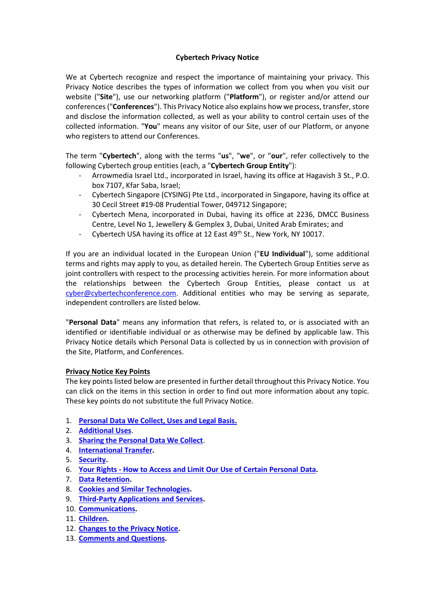# **Cybertech Privacy Notice**

We at Cybertech recognize and respect the importance of maintaining your privacy. This Privacy Notice describes the types of information we collect from you when you visit our website ("**Site**"), use our networking platform ("**Platform**"), or register and/or attend our conferences ("**Conferences**"). This Privacy Notice also explains how we process, transfer, store and disclose the information collected, as well as your ability to control certain uses of the collected information. "**You**" means any visitor of our Site, user of our Platform, or anyone who registers to attend our Conferences.

The term "**Cybertech**", along with the terms "**us**", "**we**", or "**our**", refer collectively to the following Cybertech group entities (each, a "**Cybertech Group Entity**"):

- Arrowmedia Israel Ltd., incorporated in Israel, having its office at Hagavish 3 St., P.O. box 7107, Kfar Saba, Israel;
- Cybertech Singapore (CYSING) Pte Ltd., incorporated in Singapore, having its office at 30 Cecil Street #19-08 Prudential Tower, 049712 Singapore;
- Cybertech Mena, incorporated in Dubai, having its office at 2236, DMCC Business Centre, Level No 1, Jewellery & Gemplex 3, Dubai, United Arab Emirates; and
- Cybertech USA having its office at 12 East 49<sup>th</sup> St., New York, NY 10017.

If you are an individual located in the European Union ("**EU Individual**"), some additional terms and rights may apply to you, as detailed herein. The Cybertech Group Entities serve as joint controllers with respect to the processing activities herein. For more information about the relationships between the Cybertech Group Entities, please contact us at [cyber@cybertechconference.com.](mailto:cyber@cybertechconference.com) Additional entities who may be serving as separate, independent controllers are listed below.

"**Personal Data**" means any information that refers, is related to, or is associated with an identified or identifiable individual or as otherwise may be defined by applicable law. This Privacy Notice details which Personal Data is collected by us in connection with provision of the Site, Platform, and Conferences.

### **Privacy Notice Key Points**

The key points listed below are presented in further detail throughout this Privacy Notice. You can click on the items in this section in order to find out more information about any topic. These key points do not substitute the full Privacy Notice.

- 1. **[Personal Data We Collect, Uses and Legal Basis.](#page-1-0)**
- 2. **[Additional Uses](#page-3-0)**.
- 3. **[Sharing the Personal Data We Collect](#page-4-0)**.
- 4. **[International](#page-5-0) Transfer.**
- 5. **[Security.](#page-6-0)**
- 6. **Your Rights - [How to Access and Limit Our Use of Certain Personal Data.](#page-6-1)**
- 7. **[Data Retention.](#page-8-0)**
- 8. **[Cookies and Similar Technologies.](#page-8-1)**
- 9. **[Third-Party Applications and Services.](#page-11-0)**
- 10. **[Communications.](#page-11-1)**
- 11. **[Children.](#page-11-2)**
- 12. **[Changes to the Privacy Notice.](#page-11-3)**
- 13. **[Comments and Questions.](#page-11-4)**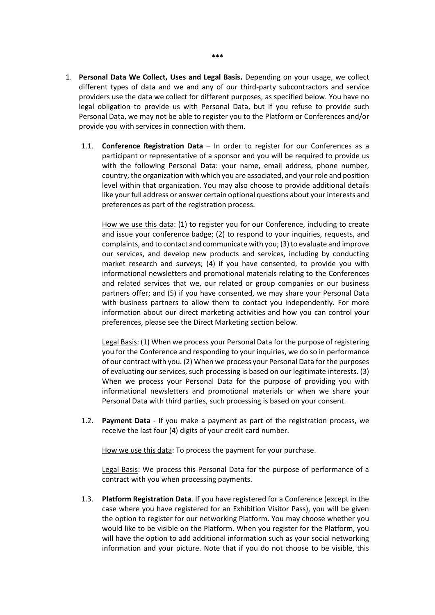- <span id="page-1-0"></span>1. **Personal Data We Collect, Uses and Legal Basis.** Depending on your usage, we collect different types of data and we and any of our third-party subcontractors and service providers use the data we collect for different purposes, as specified below. You have no legal obligation to provide us with Personal Data, but if you refuse to provide such Personal Data, we may not be able to register you to the Platform or Conferences and/or provide you with services in connection with them.
	- 1.1. **Conference Registration Data** In order to register for our Conferences as a participant or representative of a sponsor and you will be required to provide us with the following Personal Data: your name, email address, phone number, country, the organization with which you are associated, and your role and position level within that organization. You may also choose to provide additional details like your full address or answer certain optional questions about your interests and preferences as part of the registration process.

How we use this data: (1) to register you for our Conference, including to create and issue your conference badge; (2) to respond to your inquiries, requests, and complaints, and to contact and communicate with you; (3) to evaluate and improve our services, and develop new products and services, including by conducting market research and surveys; (4) if you have consented, to provide you with informational newsletters and promotional materials relating to the Conferences and related services that we, our related or group companies or our business partners offer; and (5) if you have consented, we may share your Personal Data with business partners to allow them to contact you independently. For more information about our direct marketing activities and how you can control your preferences, please see the Direct Marketing section below.

Legal Basis: (1) When we process your Personal Data for the purpose of registering you for the Conference and responding to your inquiries, we do so in performance of our contract with you. (2) When we process your Personal Data for the purposes of evaluating our services, such processing is based on our legitimate interests. (3) When we process your Personal Data for the purpose of providing you with informational newsletters and promotional materials or when we share your Personal Data with third parties, such processing is based on your consent.

1.2. **Payment Data** - If you make a payment as part of the registration process, we receive the last four (4) digits of your credit card number.

How we use this data: To process the payment for your purchase.

Legal Basis: We process this Personal Data for the purpose of performance of a contract with you when processing payments.

1.3. **Platform Registration Data**. If you have registered for a Conference (except in the case where you have registered for an Exhibition Visitor Pass), you will be given the option to register for our networking Platform. You may choose whether you would like to be visible on the Platform. When you register for the Platform, you will have the option to add additional information such as your social networking information and your picture. Note that if you do not choose to be visible, this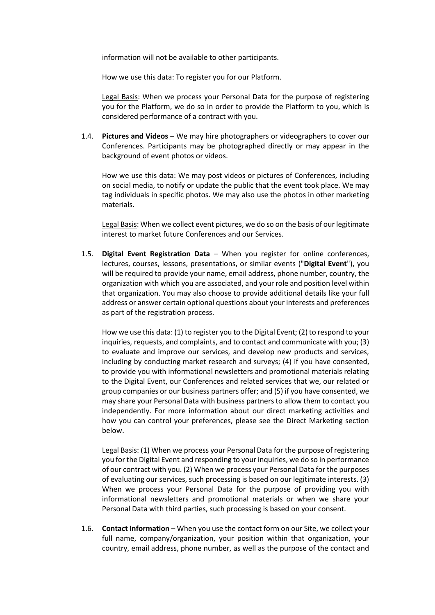information will not be available to other participants.

How we use this data: To register you for our Platform.

Legal Basis: When we process your Personal Data for the purpose of registering you for the Platform, we do so in order to provide the Platform to you, which is considered performance of a contract with you.

1.4. **Pictures and Videos** – We may hire photographers or videographers to cover our Conferences. Participants may be photographed directly or may appear in the background of event photos or videos.

How we use this data: We may post videos or pictures of Conferences, including on social media, to notify or update the public that the event took place. We may tag individuals in specific photos. We may also use the photos in other marketing materials.

Legal Basis: When we collect event pictures, we do so on the basis of our legitimate interest to market future Conferences and our Services.

1.5. **Digital Event Registration Data** – When you register for online conferences, lectures, courses, lessons, presentations, or similar events ("**Digital Event**"), you will be required to provide your name, email address, phone number, country, the organization with which you are associated, and your role and position level within that organization. You may also choose to provide additional details like your full address or answer certain optional questions about your interests and preferences as part of the registration process.

How we use this data: (1) to register you to the Digital Event; (2) to respond to your inquiries, requests, and complaints, and to contact and communicate with you; (3) to evaluate and improve our services, and develop new products and services, including by conducting market research and surveys; (4) if you have consented, to provide you with informational newsletters and promotional materials relating to the Digital Event, our Conferences and related services that we, our related or group companies or our business partners offer; and (5) if you have consented, we may share your Personal Data with business partners to allow them to contact you independently. For more information about our direct marketing activities and how you can control your preferences, please see the Direct Marketing section below.

Legal Basis: (1) When we process your Personal Data for the purpose of registering you for the Digital Event and responding to your inquiries, we do so in performance of our contract with you. (2) When we process your Personal Data for the purposes of evaluating our services, such processing is based on our legitimate interests. (3) When we process your Personal Data for the purpose of providing you with informational newsletters and promotional materials or when we share your Personal Data with third parties, such processing is based on your consent.

1.6. **Contact Information** – When you use the contact form on our Site, we collect your full name, company/organization, your position within that organization, your country, email address, phone number, as well as the purpose of the contact and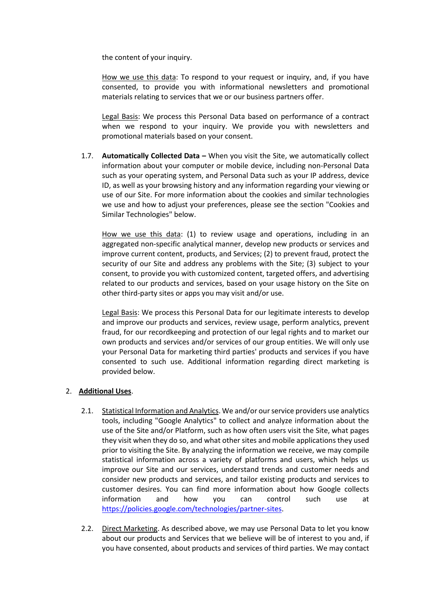the content of your inquiry.

How we use this data: To respond to your request or inquiry, and, if you have consented, to provide you with informational newsletters and promotional materials relating to services that we or our business partners offer.

Legal Basis: We process this Personal Data based on performance of a contract when we respond to your inquiry. We provide you with newsletters and promotional materials based on your consent.

1.7. **Automatically Collected Data –** When you visit the Site, we automatically collect information about your computer or mobile device, including non-Personal Data such as your operating system, and Personal Data such as your IP address, device ID, as well as your browsing history and any information regarding your viewing or use of our Site. For more information about the cookies and similar technologies we use and how to adjust your preferences, please see the section "Cookies and Similar Technologies" below.

How we use this data: (1) to review usage and operations, including in an aggregated non-specific analytical manner, develop new products or services and improve current content, products, and Services; (2) to prevent fraud, protect the security of our Site and address any problems with the Site; (3) subject to your consent, to provide you with customized content, targeted offers, and advertising related to our products and services, based on your usage history on the Site on other third-party sites or apps you may visit and/or use.

Legal Basis: We process this Personal Data for our legitimate interests to develop and improve our products and services, review usage, perform analytics, prevent fraud, for our recordkeeping and protection of our legal rights and to market our own products and services and/or services of our group entities. We will only use your Personal Data for marketing third parties' products and services if you have consented to such use. Additional information regarding direct marketing is provided below.

# <span id="page-3-0"></span>2. **Additional Uses**.

- 2.1. Statistical Information and Analytics. We and/or our service providers use analytics tools, including "Google Analytics" to collect and analyze information about the use of the Site and/or Platform, such as how often users visit the Site, what pages they visit when they do so, and what other sites and mobile applications they used prior to visiting the Site. By analyzing the information we receive, we may compile statistical information across a variety of platforms and users, which helps us improve our Site and our services, understand trends and customer needs and consider new products and services, and tailor existing products and services to customer desires. You can find more information about how Google collects information and how you can control such use at <https://policies.google.com/technologies/partner-sites>.
- 2.2. Direct Marketing. As described above, we may use Personal Data to let you know about our products and Services that we believe will be of interest to you and, if you have consented, about products and services of third parties. We may contact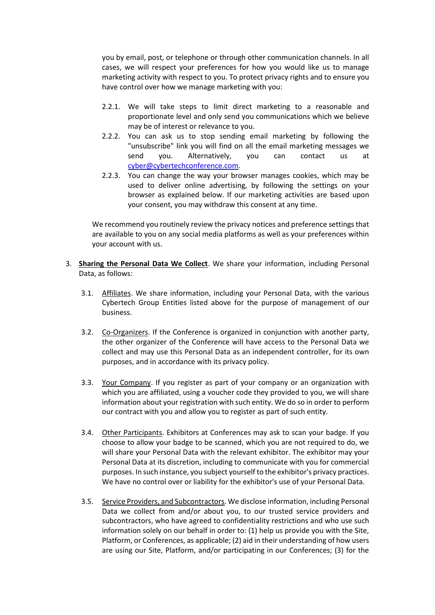you by email, post, or telephone or through other communication channels. In all cases, we will respect your preferences for how you would like us to manage marketing activity with respect to you. To protect privacy rights and to ensure you have control over how we manage marketing with you:

- 2.2.1. We will take steps to limit direct marketing to a reasonable and proportionate level and only send you communications which we believe may be of interest or relevance to you.
- 2.2.2. You can ask us to stop sending email marketing by following the "unsubscribe" link you will find on all the email marketing messages we send you. Alternatively, you can contact us at [cyber@cybertechconference.com.](mailto:cyber@cybertechconference.com)
- 2.2.3. You can change the way your browser manages cookies, which may be used to deliver online advertising, by following the settings on your browser as explained below. If our marketing activities are based upon your consent, you may withdraw this consent at any time.

We recommend you routinely review the privacy notices and preference settings that are available to you on any social media platforms as well as your preferences within your account with us.

- <span id="page-4-0"></span>3. **Sharing the Personal Data We Collect**. We share your information, including Personal Data, as follows:
	- 3.1. Affiliates. We share information, including your Personal Data, with the various Cybertech Group Entities listed above for the purpose of management of our business.
	- 3.2. Co-Organizers. If the Conference is organized in conjunction with another party, the other organizer of the Conference will have access to the Personal Data we collect and may use this Personal Data as an independent controller, for its own purposes, and in accordance with its privacy policy.
	- 3.3. Your Company. If you register as part of your company or an organization with which you are affiliated, using a voucher code they provided to you, we will share information about your registration with such entity. We do so in order to perform our contract with you and allow you to register as part of such entity.
	- 3.4. Other Participants. Exhibitors at Conferences may ask to scan your badge. If you choose to allow your badge to be scanned, which you are not required to do, we will share your Personal Data with the relevant exhibitor. The exhibitor may your Personal Data at its discretion, including to communicate with you for commercial purposes. In such instance, you subject yourself to the exhibitor's privacy practices. We have no control over or liability for the exhibitor's use of your Personal Data.
	- 3.5. Service Providers, and Subcontractors. We disclose information, including Personal Data we collect from and/or about you, to our trusted service providers and subcontractors, who have agreed to confidentiality restrictions and who use such information solely on our behalf in order to: (1) help us provide you with the Site, Platform, or Conferences, as applicable; (2) aid in their understanding of how users are using our Site, Platform, and/or participating in our Conferences; (3) for the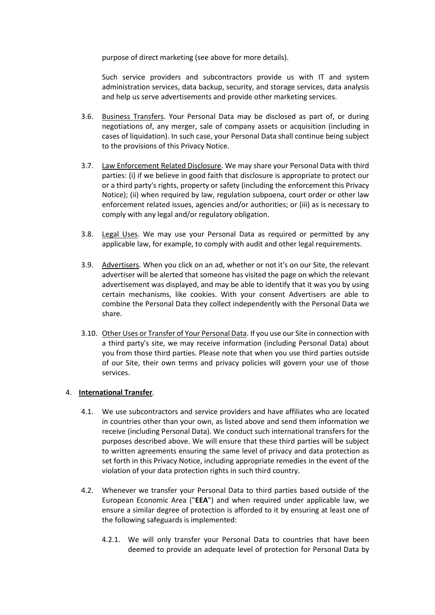purpose of direct marketing (see above for more details).

Such service providers and subcontractors provide us with IT and system administration services, data backup, security, and storage services, data analysis and help us serve advertisements and provide other marketing services.

- 3.6. Business Transfers. Your Personal Data may be disclosed as part of, or during negotiations of, any merger, sale of company assets or acquisition (including in cases of liquidation). In such case, your Personal Data shall continue being subject to the provisions of this Privacy Notice .
- 3.7. Law Enforcement Related Disclosure. We may share your Personal Data with third parties: (i) if we believe in good faith that disclosure is appropriate to protect our or a third party's rights, property or safety (including the enforcement this Privacy Notice); (ii) when required by law, regulation subpoena, court order or other law enforcement related issues, agencies and/or authorities; or (iii) as is necessary to comply with any legal and/or regulatory obligation.
- 3.8. Legal Uses. We may use your Personal Data as required or permitted by any applicable law, for example, to comply with audit and other legal requirements.
- 3.9. Advertisers. When you click on an ad, whether or not it's on our Site, the relevant advertiser will be alerted that someone has visited the page on which the relevant advertisement was displayed, and may be able to identify that it was you by using certain mechanisms, like cookies. With your consent Advertisers are able to combine the Personal Data they collect independently with the Personal Data we share.
- 3.10. Other Uses or Transfer of Your Personal Data. If you use our Site in connection with a third party's site, we may receive information (including Personal Data) about you from those third parties. Please note that when you use third parties outside of our Site, their own terms and privacy policies will govern your use of those services.

### <span id="page-5-0"></span>4. **International Transfer**.

- 4.1. We use subcontractors and service providers and have affiliates who are located in countries other than your own, as listed above and send them information we receive (including Personal Data). We conduct such international transfers for the purposes described above. We will ensure that these third parties will be subject to written agreements ensuring the same level of privacy and data protection as set forth in this Privacy Notice, including appropriate remedies in the event of the violation of your data protection rights in such third country.
- 4.2. Whenever we transfer your Personal Data to third parties based outside of the European Economic Area ("**EEA**") and when required under applicable law, we ensure a similar degree of protection is afforded to it by ensuring at least one of the following safeguards is implemented:
	- 4.2.1. We will only transfer your Personal Data to countries that have been deemed to provide an adequate level of protection for Personal Data by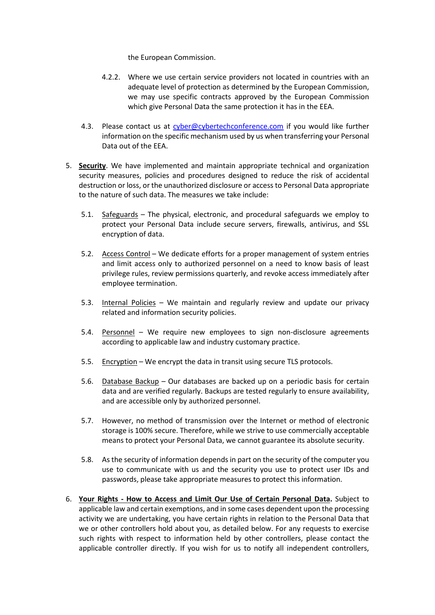the European Commission.

- 4.2.2. Where we use certain service providers not located in countries with an adequate level of protection as determined by the European Commission, we may use specific contracts approved by the European Commission which give Personal Data the same protection it has in the EEA.
- 4.3. Please contact us at [cyber@cybertechconference.com](mailto:cyber@cybertechconference.com) if you would like further information on the specific mechanism used by us when transferring your Personal Data out of the EEA.
- <span id="page-6-0"></span>5. **Security**. We have implemented and maintain appropriate technical and organization security measures, policies and procedures designed to reduce the risk of accidental destruction or loss, or the unauthorized disclosure or access to Personal Data appropriate to the nature of such data. The measures we take include:
	- 5.1. Safeguards The physical, electronic, and procedural safeguards we employ to protect your Personal Data include secure servers, firewalls, antivirus, and SSL encryption of data.
	- 5.2. Access Control We dedicate efforts for a proper management of system entries and limit access only to authorized personnel on a need to know basis of least privilege rules, review permissions quarterly, and revoke access immediately after employee termination.
	- 5.3. Internal Policies We maintain and regularly review and update our privacy related and information security policies.
	- 5.4. Personnel We require new employees to sign non-disclosure agreements according to applicable law and industry customary practice.
	- 5.5. Encryption We encrypt the data in transit using secure TLS protocols.
	- 5.6. Database Backup Our databases are backed up on a periodic basis for certain data and are verified regularly. Backups are tested regularly to ensure availability, and are accessible only by authorized personnel.
	- 5.7. However, no method of transmission over the Internet or method of electronic storage is 100% secure. Therefore, while we strive to use commercially acceptable means to protect your Personal Data, we cannot guarantee its absolute security.
	- 5.8. As the security of information depends in part on the security of the computer you use to communicate with us and the security you use to protect user IDs and passwords, please take appropriate measures to protect this information.
- <span id="page-6-1"></span>6. **Your Rights - How to Access and Limit Our Use of Certain Personal Data.** Subject to applicable law and certain exemptions, and in some cases dependent upon the processing activity we are undertaking, you have certain rights in relation to the Personal Data that we or other controllers hold about you, as detailed below. For any requests to exercise such rights with respect to information held by other controllers, please contact the applicable controller directly. If you wish for us to notify all independent controllers,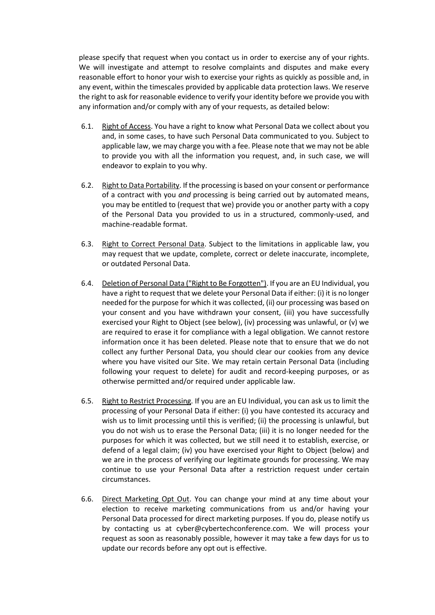please specify that request when you contact us in order to exercise any of your rights. We will investigate and attempt to resolve complaints and disputes and make every reasonable effort to honor your wish to exercise your rights as quickly as possible and, in any event, within the timescales provided by applicable data protection laws. We reserve the right to ask for reasonable evidence to verify your identity before we provide you with any information and/or comply with any of your requests, as detailed below:

- 6.1. Right of Access. You have a right to know what Personal Data we collect about you and, in some cases, to have such Personal Data communicated to you. Subject to applicable law, we may charge you with a fee. Please note that we may not be able to provide you with all the information you request, and, in such case, we will endeavor to explain to you why.
- 6.2. Right to Data Portability. If the processing is based on your consent or performance of a contract with you *and* processing is being carried out by automated means, you may be entitled to (request that we) provide you or another party with a copy of the Personal Data you provided to us in a structured, commonly-used, and machine-readable format.
- 6.3. Right to Correct Personal Data. Subject to the limitations in applicable law, you may request that we update, complete, correct or delete inaccurate, incomplete, or outdated Personal Data.
- 6.4. Deletion of Personal Data ("Right to Be Forgotten"). If you are an EU Individual, you have a right to request that we delete your Personal Data if either: (i) it is no longer needed for the purpose for which it was collected, (ii) our processing was based on your consent and you have withdrawn your consent, (iii) you have successfully exercised your Right to Object (see below), (iv) processing was unlawful, or (v) we are required to erase it for compliance with a legal obligation. We cannot restore information once it has been deleted. Please note that to ensure that we do not collect any further Personal Data, you should clear our cookies from any device where you have visited our Site. We may retain certain Personal Data (including following your request to delete) for audit and record-keeping purposes, or as otherwise permitted and/or required under applicable law.
- 6.5. Right to Restrict Processing. If you are an EU Individual, you can ask us to limit the processing of your Personal Data if either: (i) you have contested its accuracy and wish us to limit processing until this is verified; (ii) the processing is unlawful, but you do not wish us to erase the Personal Data; (iii) it is no longer needed for the purposes for which it was collected, but we still need it to establish, exercise, or defend of a legal claim; (iv) you have exercised your Right to Object (below) and we are in the process of verifying our legitimate grounds for processing. We may continue to use your Personal Data after a restriction request under certain circumstances.
- 6.6. Direct Marketing Opt Out. You can change your mind at any time about your election to receive marketing communications from us and/or having your Personal Data processed for direct marketing purposes. If you do, please notify us by contacting us at cyber@cybertechconference.com. We will process your request as soon as reasonably possible, however it may take a few days for us to update our records before any opt out is effective.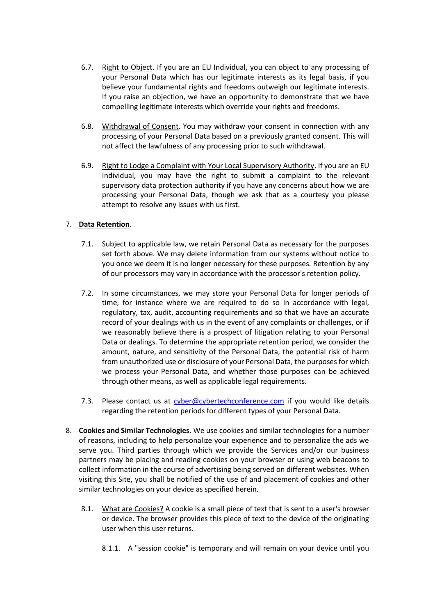- 6.7. Right to Object. If you are an EU Individual, you can object to any processing of your Personal Data which has our legitimate interests as its legal basis, if you believe your fundamental rights and freedoms outweigh our legitimate interests. If you raise an objection, we have an opportunity to demonstrate that we have compelling legitimate interests which override your rights and freedoms.
- 6.8. Withdrawal of Consent. You may withdraw your consent in connection with any processing of your Personal Data based on a previously granted consent. This will not affect the lawfulness of any processing prior to such withdrawal.
- 6.9. Right to Lodge a Complaint with Your Local Supervisory Authority. If you are an EU Individual, you may have the right to submit a complaint to the relevant supervisory data protection authority if you have any concerns about how we are processing your Personal Data, though we ask that as a courtesy you please attempt to resolve any issues with us first.

### <span id="page-8-0"></span>7. **Data Retention**.

- 7.1. Subject to applicable law, we retain Personal Data as necessary for the purposes set forth above. We may delete information from our systems without notice to you once we deem it is no longer necessary for these purposes. Retention by any of our processors may vary in accordance with the processor's retention policy.
- 7.2. In some circumstances, we may store your Personal Data for longer periods of time, for instance where we are required to do so in accordance with legal, regulatory, tax, audit, accounting requirements and so that we have an accurate record of your dealings with us in the event of any complaints or challenges, or if we reasonably believe there is a prospect of litigation relating to your Personal Data or dealings. To determine the appropriate retention period, we consider the amount, nature, and sensitivity of the Personal Data, the potential risk of harm from unauthorized use or disclosure of your Personal Data, the purposes for which we process your Personal Data, and whether those purposes can be achieved through other means, as well as applicable legal requirements.
- 7.3. Please contact us at [cyber@cybertechconference.com](mailto:cyber@cybertechconference.com) if you would like details regarding the retention periods for different types of your Personal Data.
- <span id="page-8-1"></span>8. **Cookies and Similar Technologies**. We use cookies and similar technologies for a number of reasons, including to help personalize your experience and to personalize the ads we serve you. Third parties through which we provide the Services and/or our business partners may be placing and reading cookies on your browser or using web beacons to collect information in the course of advertising being served on different websites. When visiting this Site, you shall be notified of the use of and placement of cookies and other similar technologies on your device as specified herein.
	- 8.1. What are Cookies? A cookie is a small piece of text that is sent to a user's browser or device. The browser provides this piece of text to the device of the originating user when this user returns.
		- 8.1.1. A "session cookie" is temporary and will remain on your device until you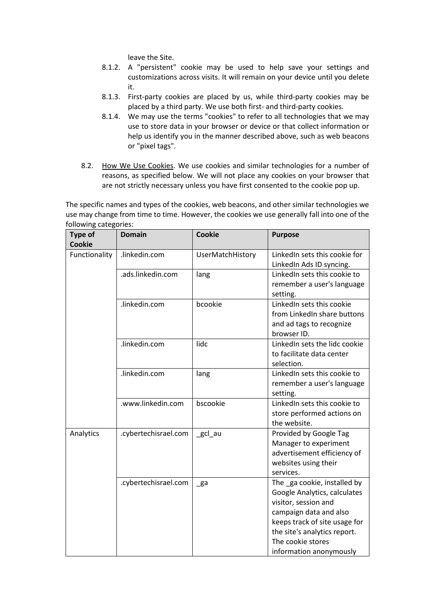leave the Site.

- 8.1.2. A "persistent" cookie may be used to help save your settings and customizations across visits. It will remain on your device until you delete it.
- 8.1.3. First-party cookies are placed by us, while third-party cookies may be placed by a third party. We use both first- and third-party cookies.
- 8.1.4. We may use the terms "cookies" to refer to all technologies that we may use to store data in your browser or device or that collect information or help us identify you in the manner described above, such as web beacons or "pixel tags".
- 8.2. How We Use Cookies. We use cookies and similar technologies for a number of reasons, as specified below. We will not place any cookies on your browser that are not strictly necessary unless you have first consented to the cookie pop up.

The specific names and types of the cookies, web beacons, and other similar technologies we use may change from time to time. However, the cookies we use generally fall into one of the following categories:

| <b>Type of</b><br><b>Cookie</b> | <b>Domain</b>        | <b>Cookie</b>    | <b>Purpose</b>                                                                                                                                                                                                                 |
|---------------------------------|----------------------|------------------|--------------------------------------------------------------------------------------------------------------------------------------------------------------------------------------------------------------------------------|
| Functionality                   | .linkedin.com        | UserMatchHistory | LinkedIn sets this cookie for<br>LinkedIn Ads ID syncing.                                                                                                                                                                      |
|                                 | .ads.linkedin.com    | lang             | LinkedIn sets this cookie to<br>remember a user's language<br>setting.                                                                                                                                                         |
|                                 | .linkedin.com        | bcookie          | LinkedIn sets this cookie<br>from LinkedIn share buttons<br>and ad tags to recognize<br>browser ID.                                                                                                                            |
|                                 | .linkedin.com        | lidc             | LinkedIn sets the lidc cookie<br>to facilitate data center<br>selection.                                                                                                                                                       |
|                                 | .linkedin.com        | lang             | LinkedIn sets this cookie to<br>remember a user's language<br>setting.                                                                                                                                                         |
|                                 | .www.linkedin.com    | bscookie         | LinkedIn sets this cookie to<br>store performed actions on<br>the website.                                                                                                                                                     |
| Analytics                       | .cybertechisrael.com | _gcl_au          | Provided by Google Tag<br>Manager to experiment<br>advertisement efficiency of<br>websites using their<br>services.                                                                                                            |
|                                 | .cybertechisrael.com | $\mathsf{g}$ a   | The ga cookie, installed by<br>Google Analytics, calculates<br>visitor, session and<br>campaign data and also<br>keeps track of site usage for<br>the site's analytics report.<br>The cookie stores<br>information anonymously |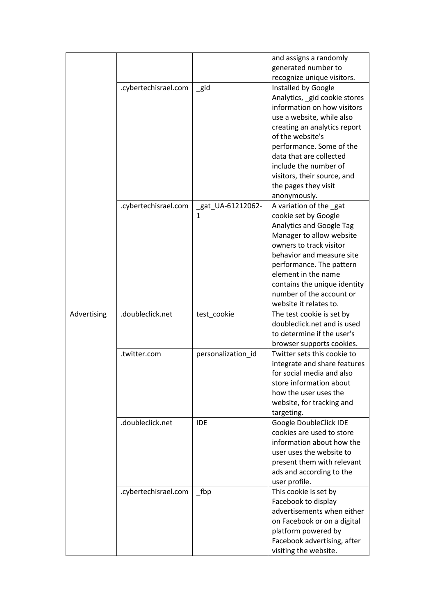|             |                      |                        | and assigns a randomly<br>generated number to<br>recognize unique visitors.                                                                                                                                                                                                                                    |
|-------------|----------------------|------------------------|----------------------------------------------------------------------------------------------------------------------------------------------------------------------------------------------------------------------------------------------------------------------------------------------------------------|
|             | .cybertechisrael.com | $\_$ gid               | Installed by Google<br>Analytics, gid cookie stores<br>information on how visitors<br>use a website, while also<br>creating an analytics report<br>of the website's<br>performance. Some of the<br>data that are collected<br>include the number of                                                            |
|             |                      |                        | visitors, their source, and<br>the pages they visit<br>anonymously.                                                                                                                                                                                                                                            |
|             | .cybertechisrael.com | _gat_UA-61212062-<br>1 | A variation of the gat<br>cookie set by Google<br><b>Analytics and Google Tag</b><br>Manager to allow website<br>owners to track visitor<br>behavior and measure site<br>performance. The pattern<br>element in the name<br>contains the unique identity<br>number of the account or<br>website it relates to. |
| Advertising | .doubleclick.net     | test_cookie            | The test cookie is set by<br>doubleclick.net and is used<br>to determine if the user's<br>browser supports cookies.                                                                                                                                                                                            |
|             | .twitter.com         | personalization id     | Twitter sets this cookie to<br>integrate and share features<br>for social media and also<br>store information about<br>how the user uses the<br>website, for tracking and<br>targeting.                                                                                                                        |
|             | .doubleclick.net     | <b>IDE</b>             | Google DoubleClick IDE<br>cookies are used to store<br>information about how the<br>user uses the website to<br>present them with relevant<br>ads and according to the<br>user profile.                                                                                                                        |
|             | .cybertechisrael.com | $\sqrt{\frac{1}{2}}$   | This cookie is set by<br>Facebook to display<br>advertisements when either<br>on Facebook or on a digital<br>platform powered by<br>Facebook advertising, after<br>visiting the website.                                                                                                                       |